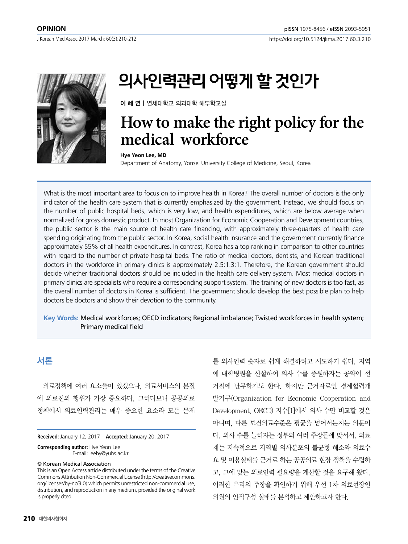J Korean Med Assoc 2017 March; 60(3):210-212



# 의사인력관리 어떻게 할 것인가

이 혜 연 | 연세대학교 의과대학 해부학교실

## **How to make the right policy for the medical workforce**

#### **Hye Yeon Lee, MD**

Department of Anatomy, Yonsei University College of Medicine, Seoul, Korea

What is the most important area to focus on to improve health in Korea? The overall number of doctors is the only indicator of the health care system that is currently emphasized by the government. Instead, we should focus on the number of public hospital beds, which is very low, and health expenditures, which are below average when normalized for gross domestic product. In most Organization for Economic Cooperation and Development countries, the public sector is the main source of health care financing, with approximately three-quarters of health care spending originating from the public sector. In Korea, social health insurance and the government currently finance approximately 55% of all health expenditures. In contrast, Korea has a top ranking in comparison to other countries with regard to the number of private hospital beds. The ratio of medical doctors, dentists, and Korean traditional doctors in the workforce in primary clinics is approximately 2.5:1.3:1. Therefore, the Korean government should decide whether traditional doctors should be included in the health care delivery system. Most medical doctors in primary clinics are specialists who require a corresponding support system. The training of new doctors is too fast, as the overall number of doctors in Korea is sufficient. The government should develop the best possible plan to help doctors be doctors and show their devotion to the community.

## **Key Words:** Medical workforces; OECD indicators; Regional imbalance; Twisted workforces in health system; Primary medical field

## 서론

의료정책에 여러 요소들이 있겠으나, 의료서비스의 본질 에 의료진의 행위가 가장 중요하다. 그러다보니 공공의료 정책에서 의료인력관리는 매우 중요한 요소라 모든 문제

**Received:** January 12, 2017 **Accepted:** January 20, 2017

**Corresponding author:** Hye Yeon Lee E-mail: leehy@yuhs.ac.kr

#### © Korean Medical Association

This is an Open Access article distributed under the terms of the Creative Commons Attribution Non-Commercial License (http://creativecommons. org/licenses/by-nc/3.0) which permits unrestricted non-commercial use, distribution, and reproduction in any medium, provided the original work is properly cited.

를 의사인력 숫자로 쉽게 해결하려고 시도하기 쉽다. 지역 에 대학병원을 신설하여 의사 수를 증원하자는 공약이 선 거철에 난무하기도 한다. 하지만 근거자료인 경제협력개 발기구(Organization for Economic Cooperation and Development, OECD) 지수[1]에서 의사 수만 비교할 것은 아니며, 다른 보건의료수준은 평균을 넘어서는지는 의문이 다. 의사 수를 늘리자는 정부의 여러 주장들에 맞서서, 의료 계는 지속적으로 지역별 의사분포의 불균형 해소와 의료수 요 및 이용실태를 근거로 하는 공공의료 현장 정책을 수립하 고, 그에 맞는 의료인력 필요량을 계산할 것을 요구해 왔다. 이러한 우리의 주장을 확인하기 위해 우선 1차 의료현장인 의원의 인적구성 실태를 분석하고 제안하고자 한다.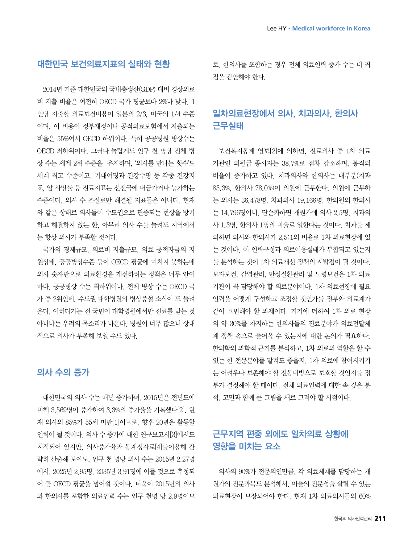## 대한민국 보건의료지표의 실태와 현황

2014년 기준 대한민국의 국내총생산(GDP) 대비 경상의료 비 지출 비율은 여전히 OECD 국가 평균보다 2%나 낮다. 1 인당 지출할 의료보건비용이 일본의 2/3, 미국의 1/4 수준 이며, 이 비용이 정부재정이나 공적의료보험에서 지출되는 비율은 55%여서 OECD 하위이다. 특히 공공병원 병상수는 OECD 최하위이다. 그러나 놀랍게도 인구 천 명당 전체 병 상 수는 세계 2위 수준을 유지하며, '의사를 만나는 횟수'도 세계 최고 수준이고, 기대여명과 건강수명 등 각종 건강지 표, 암 사망률 등 진료지표는 선진국에 버금가거나 능가하는 수준이다. 의사 수 조절로만 해결될 지표들은 아니다. 현재 와 같은 상태로 의사들이 수도권으로 편중되는 현상을 방기 하고 해결하지 않는 한, 아무리 의사 수를 늘려도 지역에서 는 항상 의사가 부족할 것이다.

국가의 경제규모, 의료비 지출규모, 의료 공적자금의 지 원상태, 공공병상수준 등이 OECD 평균에 미치지 못하는데 의사 숫자만으로 의료환경을 개선하려는 정책은 너무 안이 하다. 공공병상 수는 최하위이나, 전체 병상 수는 OECD 국 가 중 2위인데, 수도권 대학병원의 병상증설 소식이 또 들려 온다. 이러다가는 전 국민이 대학병원에서만 진료를 받는 것 아니냐는 우려의 목소리가 나온다. 병원이 너무 많으니 상대 적으로 의사가 부족해 보일 수도 있다.

## 의사 수의 증가

대한민국의 의사 수는 매년 증가하며, 2015년은 전년도에 비해 3,569명이 증가하여 3.3%의 증가율을 기록했다[2]. 현 재 의사의 85%가 55세 미만[1]이므로, 향후 20년은 활동할 인력이 될 것이다. 의사 수 증가에 대한 연구보고서[3]에서도 지적되어 있지만, 의사증가율과 통계청자료[4]를이용해 간 략히 산출해 보아도, 인구 천 명당 의사 수는 2015년 2.27명 에서, 2025년 2.95명, 2035년 3.91명에 이를 것으로 추정되 어 곧 OECD 평균을 넘어설 것이다. 더욱이 2015년의 의사 와 한의사를 포함한 의료인력 수는 인구 천명 당 2.9명이므

로, 한의사를 포함하는 경우 전체 의료인력 증가 수는 더 커 짐을 감안해야 한다.

## 일차의료현장에서 의사, 치과의사, 한의사 근무실태

보건복지통계 연보[2]에 의하면, 진료의사 중 1차 의료 기관인 의원급 종사자는 38.7%로 점차 감소하며, 봉직의 비율이 증가하고 있다. 치과의사와 한의사는 대부분(치과 83.3%, 한의사 78.0%)이 의원에 근무한다. 의원에 근무하 는 의사는 36,478명, 치과의사 19,166명. 한의원의 한의사 는 14,796명이니, 단순화하면 개원가에 의사 2.5명, 치과의 사 1.3명, 한의사 1명의 비율로 일한다는 것이다. 치과를 제 외하면 의사와 한의사가 2.5:1의 비율로 1차 의료현장에 있 는 것이다. 이 인력구성과 의료이용실태가 부합되고 있는지 를 분석하는 것이 1차 의료개선 정책의 시발점이 될 것이다. 모자보건, 감염관리, 만성질환관리 및 노령보건은 1차 의료 기관이 꼭 담당해야 할 의료분야이다. 1차 의료현장에 필요 인력을 어떻게 구성하고 조정할 것인가를 정부와 의료계가 같이 고민해야 할 과제이다. 거기에 더하여 1차 의료 현장 의 약 30%를 차지하는 한의사들의 진료분야가 의료전달체 계 정책 속으로 들어올 수 있는지에 대한 논의가 필요하다. 한의학의 과학적 근거를 분석하고, 1차 의료의 역할을 할 수 있는 한 전문분야를 맡겨도 좋을지, 1차 의료에 참여시키기 는 어려우나 보존해야 할 전통비방으로 보호할 것인지를 정 부가 결정해야 할 때이다. 전체 의료인력에 대한 속 깊은 분 석, 고민과 함께 큰 그림을 새로 그려야 할 시점이다.

## 근무지역 편중 외에도 일차의료 상황에 영향을 미치는 요소

의사의 90%가 전문의인만큼, 각 의료체계를 담당하는 개 원가의 전문과목도 분석해서, 이들의 전문성을 살릴 수 있는 의료현장이 보장되어야 한다. 현재 1차 의료의사들의 60%